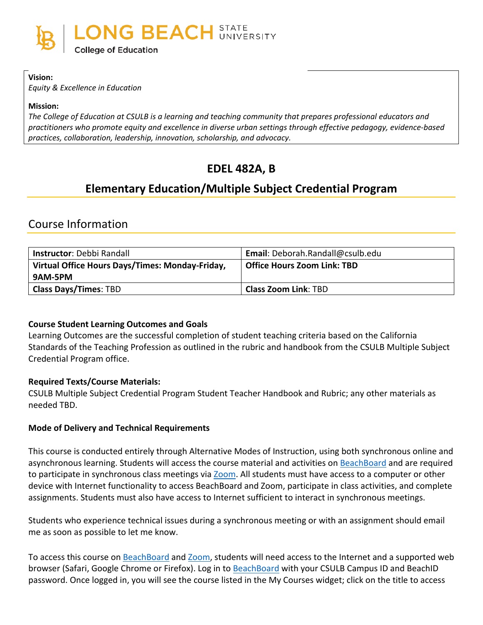

#### **Vision:**

*Equity & Excellence in Education*

#### **Mission:**

*The College of Education at CSULB is a learning and teaching community that prepares professional educators and practitioners who promote equity and excellence in diverse urban settings through effective pedagogy, evidence-based practices, collaboration, leadership, innovation, scholarship, and advocacy.*

# **EDEL 482A, B**

# **Elementary Education/Multiple Subject Credential Program**

# Course Information

| <b>Instructor: Debbi Randall</b>                | Email: Deborah.Randall@csulb.edu |
|-------------------------------------------------|----------------------------------|
| Virtual Office Hours Days/Times: Monday-Friday, | Office Hours Zoom Link: TBD      |
| 9AM-5PM                                         |                                  |
| <b>Class Days/Times: TBD</b>                    | <b>Class Zoom Link: TBD</b>      |

### **Course Student Learning Outcomes and Goals**

Learning Outcomes are the successful completion of student teaching criteria based on the California Standards of the Teaching Profession as outlined in the rubric and handbook from the CSULB Multiple Subject Credential Program office.

#### **Required Texts/Course Materials:**

CSULB Multiple Subject Credential Program Student Teacher Handbook and Rubric; any other materials as needed TBD.

#### **Mode of Delivery and Technical Requirements**

This course is conducted entirely through Alternative Modes of Instruction, using both synchronous online and asynchronous learning. Students will access the course material and activities on [BeachBoard](https://bbcsulb.desire2learn.com/d2l/home) and are required to participate in synchronous class meetings via [Zoom.](https://csulb.zoom.us/meeting) All students must have access to a computer or other device with Internet functionality to access BeachBoard and Zoom, participate in class activities, and complete assignments. Students must also have access to Internet sufficient to interact in synchronous meetings.

Students who experience technical issues during a synchronous meeting or with an assignment should email me as soon as possible to let me know.

To access this course on BeachBoard and [Zoom,](https://csulb.zoom.us/meeting) students will need access to the Internet and a supported web browser (Safari, Google Chrome or Firefox). Log in to [BeachBoard](https://bbcsulb.desire2learn.com/) with your CSULB Campus ID and BeachID password. Once logged in, you will see the course listed in the My Courses widget; click on the title to access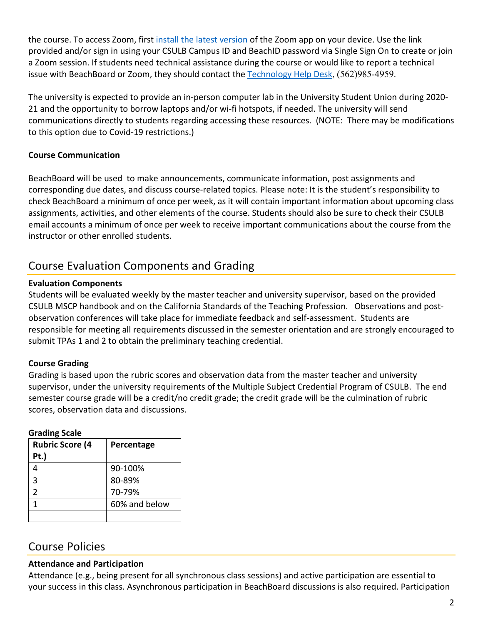the course. To access Zoom, first [install the latest version](https://zoom.us/download) of the Zoom app on your device. Use the link provided and/or sign in using your CSULB Campus ID and BeachID password via Single Sign On to create or join a Zoom session. If students need technical assistance during the course or would like to report a technical issue with BeachBoard or Zoom, they should contact the [Technology Help Desk](https://www.csulb.edu/academic-technology-services/academic-technology-resources-for-students), (562)985-4959.

The university is expected to provide an in-person computer lab in the University Student Union during 2020- 21 and the opportunity to borrow laptops and/or wi-fi hotspots, if needed. The university will send communications directly to students regarding accessing these resources. (NOTE: There may be modifications to this option due to Covid-19 restrictions.)

## **Course Communication**

BeachBoard will be used to make announcements, communicate information, post assignments and corresponding due dates, and discuss course-related topics. Please note: It is the student's responsibility to check BeachBoard a minimum of once per week, as it will contain important information about upcoming class assignments, activities, and other elements of the course. Students should also be sure to check their CSULB email accounts a minimum of once per week to receive important communications about the course from the instructor or other enrolled students.

# Course Evaluation Components and Grading

#### **Evaluation Components**

Students will be evaluated weekly by the master teacher and university supervisor, based on the provided CSULB MSCP handbook and on the California Standards of the Teaching Profession. Observations and postobservation conferences will take place for immediate feedback and self-assessment. Students are responsible for meeting all requirements discussed in the semester orientation and are strongly encouraged to submit TPAs 1 and 2 to obtain the preliminary teaching credential.

### **Course Grading**

Grading is based upon the rubric scores and observation data from the master teacher and university supervisor, under the university requirements of the Multiple Subject Credential Program of CSULB. The end semester course grade will be a credit/no credit grade; the credit grade will be the culmination of rubric scores, observation data and discussions.

| oraanin searc          |               |
|------------------------|---------------|
| <b>Rubric Score (4</b> | Percentage    |
| Pt.)                   |               |
|                        | 90-100%       |
| 3                      | 80-89%        |
| 2                      | 70-79%        |
|                        | 60% and below |
|                        |               |

#### **Grading Scale**

# Course Policies

### **Attendance and Participation**

Attendance (e.g., being present for all synchronous class sessions) and active participation are essential to your success in this class. Asynchronous participation in BeachBoard discussions is also required. Participation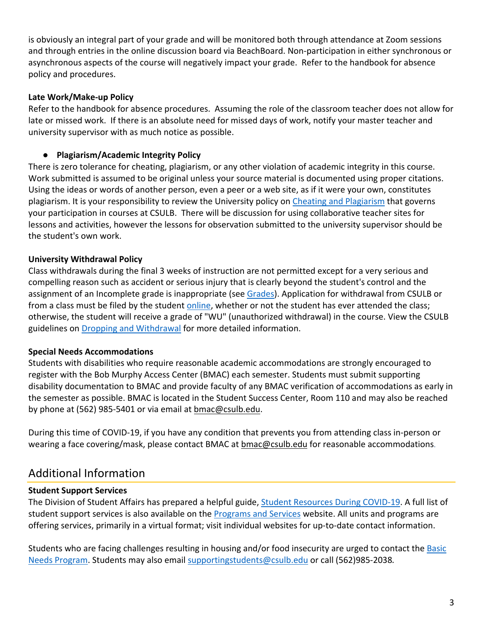is obviously an integral part of your grade and will be monitored both through attendance at Zoom sessions and through entries in the online discussion board via BeachBoard. Non-participation in either synchronous or asynchronous aspects of the course will negatively impact your grade. Refer to the handbook for absence policy and procedures.

## **Late Work/Make-up Policy**

Refer to the handbook for absence procedures. Assuming the role of the classroom teacher does not allow for late or missed work. If there is an absolute need for missed days of work, notify your master teacher and university supervisor with as much notice as possible.

# ● **Plagiarism/Academic Integrity Policy**

There is zero tolerance for cheating, plagiarism, or any other violation of academic integrity in this course. Work submitted is assumed to be original unless your source material is documented using proper citations. Using the ideas or words of another person, even a peer or a web site, as if it were your own, constitutes plagiarism. It is your responsibility to review the University policy on [Cheating and Plagiarism](http://catalog.csulb.edu/content.php?catoid=5&navoid=369#cheating-and-plagiarism) that governs your participation in courses at CSULB. There will be discussion for using collaborative teacher sites for lessons and activities, however the lessons for observation submitted to the university supervisor should be the student's own work.

## **University Withdrawal Policy**

Class withdrawals during the final 3 weeks of instruction are not permitted except for a very serious and compelling reason such as accident or serious injury that is clearly beyond the student's control and the assignment of an Incomplete grade is inappropriate (see [Grades\)](http://www.csulb.edu/depts/enrollment/student_academic_records/grading.html). Application for withdrawal from CSULB or from a class must be filed by the student [online,](https://www.csulb.edu/student-records/dropping-and-withdrawing) whether or not the student has ever attended the class; otherwise, the student will receive a grade of "WU" (unauthorized withdrawal) in the course. View the CSULB guidelines on [Dropping and Withdrawal](https://www.csulb.edu/student-records/dropping-and-withdrawing#:%7E:text=Policy,after%20separation%20from%20the%20university.) for more detailed information.

### **Special Needs Accommodations**

Students with disabilities who require reasonable academic accommodations are strongly encouraged to register with the Bob Murphy Access Center (BMAC) each semester. Students must submit supporting disability documentation to BMAC and provide faculty of any BMAC verification of accommodations as early in the semester as possible. BMAC is located in the Student Success Center, Room 110 and may also be reached by phone at (562) 985-5401 or via email at [bmac@csulb.edu.](mailto:bmac@csulb.edu)

During this time of COVID-19, if you have any condition that prevents you from attending class in-person or wearing a face covering/mask, please contact BMAC at [bmac@csulb.edu](mailto:bmac@csulb.edu) for reasonable accommodations.

# Additional Information

### **Student Support Services**

The Division of Student Affairs has prepared a helpful guide, [Student Resources During COVID-19.](https://rb.gy/ql7w8j) A full list of student support services is also available on the [Programs and Services](http://web.csulb.edu/divisions/students/programs.html) website. All units and programs are offering services, primarily in a virtual format; visit individual websites for up-to-date contact information.

Students who are facing challenges resulting in housing and/or food insecurity are urged to contact the **Basic** [Needs Program.](http://web.csulb.edu/divisions/students/basic_needs_program/index.html) Students may also email [supportingstudents@csulb.edu](mailto:supportingstudents@csulb.edu) or call (562)985-2038*.*